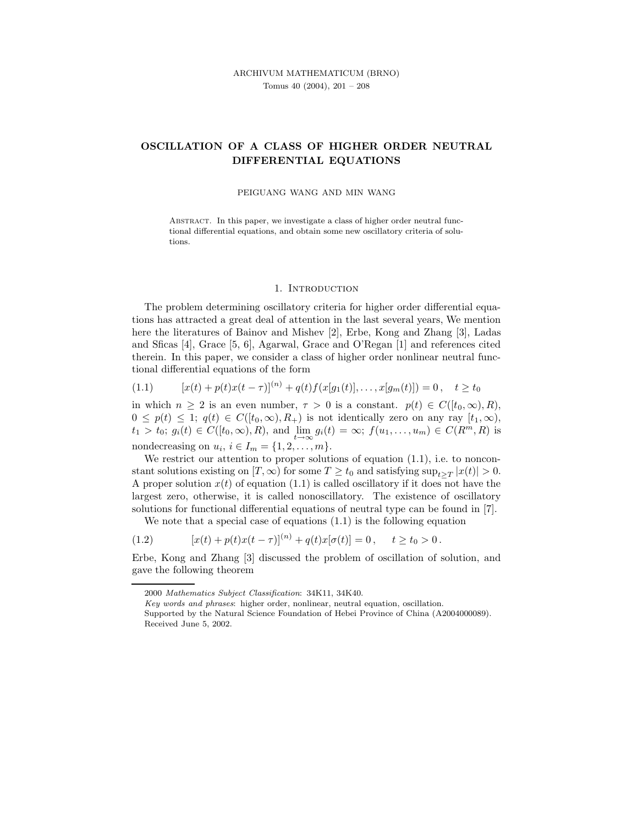# OSCILLATION OF A CLASS OF HIGHER ORDER NEUTRAL DIFFERENTIAL EQUATIONS

#### PEIGUANG WANG AND MIN WANG

ABSTRACT. In this paper, we investigate a class of higher order neutral functional differential equations, and obtain some new oscillatory criteria of solutions.

#### 1. INTRODUCTION

The problem determining oscillatory criteria for higher order differential equations has attracted a great deal of attention in the last several years, We mention here the literatures of Bainov and Mishev [2], Erbe, Kong and Zhang [3], Ladas and Sficas [4], Grace [5, 6], Agarwal, Grace and O'Regan [1] and references cited therein. In this paper, we consider a class of higher order nonlinear neutral functional differential equations of the form

$$
(1.1) \t[x(t) + p(t)x(t - \tau)]^{(n)} + q(t)f(x[g_1(t)], \ldots, x[g_m(t)]) = 0, \quad t \ge t_0
$$

in which  $n \geq 2$  is an even number,  $\tau > 0$  is a constant.  $p(t) \in C([t_0,\infty),R)$ ,  $0 \leq p(t) \leq 1$ ;  $q(t) \in C([t_0, \infty), R_+)$  is not identically zero on any ray  $[t_1, \infty)$ ,  $t_1 > t_0$ ;  $g_i(t) \in C([t_0, \infty), R)$ , and  $\lim_{t \to \infty} g_i(t) = \infty$ ;  $f(u_1, \dots, u_m) \in C(R^m, R)$  is nondecreasing on  $u_i$ ,  $i \in I_m = \{1, 2, \ldots, m\}.$ 

We restrict our attention to proper solutions of equation  $(1.1)$ , i.e. to nonconstant solutions existing on  $[T, \infty)$  for some  $T \ge t_0$  and satisfying  $\sup_{t \ge T} |x(t)| > 0$ . A proper solution  $x(t)$  of equation (1.1) is called oscillatory if it does not have the largest zero, otherwise, it is called nonoscillatory. The existence of oscillatory solutions for functional differential equations of neutral type can be found in [7].

We note that a special case of equations (1.1) is the following equation

(1.2) 
$$
[x(t) + p(t)x(t-\tau)]^{(n)} + q(t)x[\sigma(t)] = 0, \quad t \ge t_0 > 0.
$$

Erbe, Kong and Zhang [3] discussed the problem of oscillation of solution, and gave the following theorem

Key words and phrases: higher order, nonlinear, neutral equation, oscillation.

<sup>2000</sup> Mathematics Subject Classification: 34K11, 34K40.

Supported by the Natural Science Foundation of Hebei Province of China (A2004000089). Received June 5, 2002.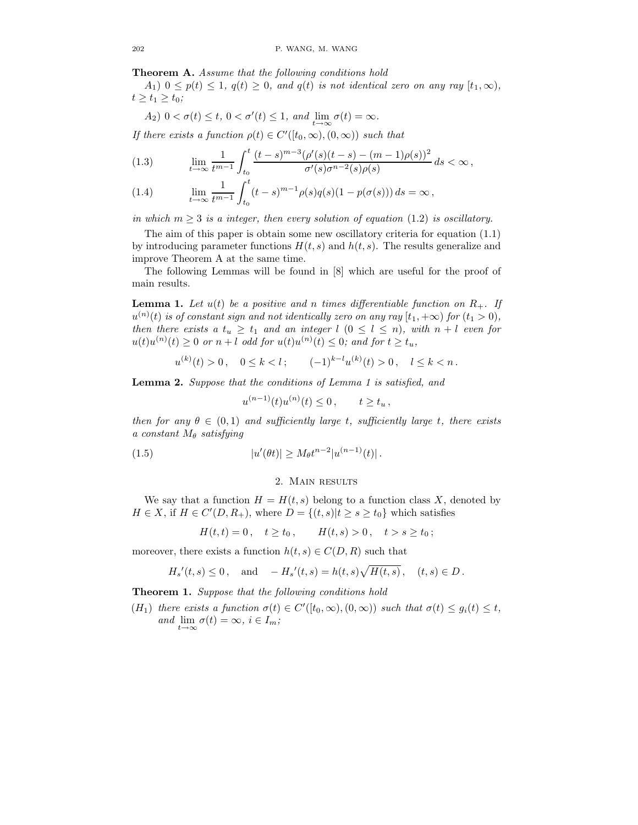Theorem A. Assume that the following conditions hold

 $A_1$ )  $0 \leq p(t) \leq 1$ ,  $q(t) \geq 0$ , and  $q(t)$  is not identical zero on any ray  $[t_1, \infty)$ ,  $t \geq t_1 \geq t_0;$ 

$$
A_2) \ 0 < \sigma(t) \le t, \ 0 < \sigma'(t) \le 1, \ and \ \lim_{t \to \infty} \sigma(t) = \infty.
$$

If there exists a function  $\rho(t) \in C'([t_0, \infty), (0, \infty))$  such that

(1.3) 
$$
\lim_{t \to \infty} \frac{1}{t^{m-1}} \int_{t_0}^t \frac{(t-s)^{m-3} (\rho'(s)(t-s) - (m-1)\rho(s))^2}{\sigma'(s)\sigma^{n-2}(s)\rho(s)} ds < \infty,
$$

(1.4) 
$$
\lim_{t \to \infty} \frac{1}{t^{m-1}} \int_{t_0}^t (t-s)^{m-1} \rho(s) q(s) (1 - p(\sigma(s))) ds = \infty,
$$

in which  $m \geq 3$  is a integer, then every solution of equation (1.2) is oscillatory.

The aim of this paper is obtain some new oscillatory criteria for equation (1.1) by introducing parameter functions  $H(t, s)$  and  $h(t, s)$ . The results generalize and improve Theorem A at the same time.

The following Lemmas will be found in [8] which are useful for the proof of main results.

**Lemma 1.** Let  $u(t)$  be a positive and n times differentiable function on  $R_+$ . If  $u^{(n)}(t)$  is of constant sign and not identically zero on any ray  $[t_1,+\infty)$  for  $(t_1>0),$ then there exists a  $t_u \geq t_1$  and an integer  $l$   $(0 \leq l \leq n)$ , with  $n + l$  even for  $u(t)u^{(n)}(t) \geq 0$  or  $n+l$  odd for  $u(t)u^{(n)}(t) \leq 0$ ; and for  $t \geq t_u$ ,

$$
u^{(k)}(t) > 0
$$
,  $0 \le k < l$ ;  $(-1)^{k-l}u^{(k)}(t) > 0$ ,  $l \le k < n$ .

Lemma 2. Suppose that the conditions of Lemma 1 is satisfied, and

$$
u^{(n-1)}(t)u^{(n)}(t) \le 0
$$
,  $t \ge t_u$ ,

then for any  $\theta \in (0,1)$  and sufficiently large t, sufficiently large t, there exists a constant  $M_{\theta}$  satisfying

(1.5) 
$$
|u'(\theta t)| \geq M_{\theta} t^{n-2} |u^{(n-1)}(t)|.
$$

## 2. Main results

We say that a function  $H = H(t, s)$  belong to a function class X, denoted by  $H \in X$ , if  $H \in C'(D, R_+)$ , where  $D = \{(t, s)|t \ge s \ge t_0\}$  which satisfies

 $H(t,t) = 0 \, , \quad t \geq t_0 \, , \qquad H(t,s) > 0 \, , \quad t > s \geq t_0 \, ;$ 

moreover, there exists a function  $h(t, s) \in C(D, R)$  such that

$$
H_s'(t,s) \le 0
$$
, and  $-H_s'(t,s) = h(t,s)\sqrt{H(t,s)}$ ,  $(t,s) \in D$ .

Theorem 1. Suppose that the following conditions hold

 $(H_1)$  there exists a function  $\sigma(t) \in C'([t_0,\infty), (0,\infty))$  such that  $\sigma(t) \leq g_i(t) \leq t$ , and  $\lim_{t\to\infty}\sigma(t) = \infty, i \in I_m;$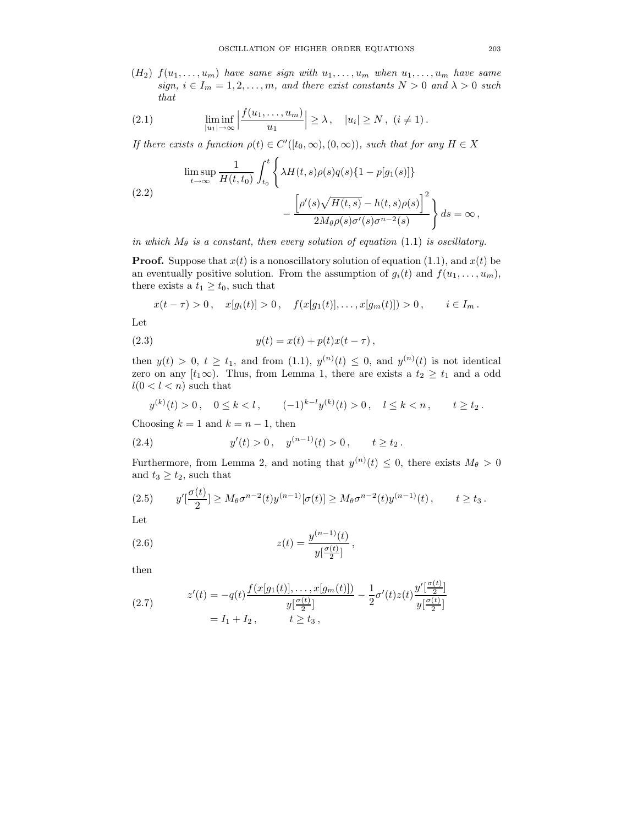$(H_2)$   $f(u_1, \ldots, u_m)$  have same sign with  $u_1, \ldots, u_m$  when  $u_1, \ldots, u_m$  have same sign,  $i \in I_m = 1, 2, ..., m$ , and there exist constants  $N > 0$  and  $\lambda > 0$  such that

(2.1) 
$$
\liminf_{|u_1| \to \infty} \left| \frac{f(u_1, \dots, u_m)}{u_1} \right| \ge \lambda, \quad |u_i| \ge N, \ (i \ne 1).
$$

If there exists a function  $\rho(t) \in C'([t_0, \infty), (0, \infty))$ , such that for any  $H \in X$ 

$$
\limsup_{t \to \infty} \frac{1}{H(t, t_0)} \int_{t_0}^t \left\{ \lambda H(t, s) \rho(s) q(s) \{1 - p[g_1(s)]\} - \frac{\left[\rho'(s) \sqrt{H(t, s)} - h(t, s) \rho(s)\right]^2}{2M_\theta \rho(s) \sigma'(s) \sigma^{n-2}(s)} \right\} ds = \infty,
$$

in which  $M_{\theta}$  is a constant, then every solution of equation (1.1) is oscillatory.

**Proof.** Suppose that  $x(t)$  is a nonoscillatory solution of equation (1.1), and  $x(t)$  be an eventually positive solution. From the assumption of  $g_i(t)$  and  $f(u_1, \ldots, u_m)$ , there exists a  $t_1 \geq t_0$ , such that

$$
x(t - \tau) > 0
$$
,  $x[g_i(t)] > 0$ ,  $f(x[g_1(t)],...,x[g_m(t)]) > 0$ ,  $i \in I_m$ .

Let

(2.3) 
$$
y(t) = x(t) + p(t)x(t - \tau),
$$

then  $y(t) > 0, t \geq t_1$ , and from  $(1.1), y^{(n)}(t) \leq 0$ , and  $y^{(n)}(t)$  is not identical zero on any  $[t_1\infty)$ . Thus, from Lemma 1, there are exists a  $t_2 \geq t_1$  and a odd  $l(0 < l < n)$  such that

$$
y^{(k)}(t) > 0
$$
,  $0 \le k < l$ ,  $(-1)^{k-l}y^{(k)}(t) > 0$ ,  $l \le k < n$ ,  $t \ge t_2$ .

Choosing  $k = 1$  and  $k = n - 1$ , then

(2.4) 
$$
y'(t) > 0
$$
,  $y^{(n-1)}(t) > 0$ ,  $t \ge t_2$ .

Furthermore, from Lemma 2, and noting that  $y^{(n)}(t) \leq 0$ , there exists  $M_{\theta} > 0$ and  $t_3 \geq t_2$ , such that

$$
(2.5) \t y'[\frac{\sigma(t)}{2}] \geq M_{\theta} \sigma^{n-2}(t) y^{(n-1)}[\sigma(t)] \geq M_{\theta} \sigma^{n-2}(t) y^{(n-1)}(t), \t t \geq t_3.
$$

Let

(2.6) 
$$
z(t) = \frac{y^{(n-1)}(t)}{y[\frac{\sigma(t)}{2}]},
$$

then

(2.7) 
$$
z'(t) = -q(t)\frac{f(x[g_1(t)], \dots, x[g_m(t)])}{y\left[\frac{\sigma(t)}{2}\right]} - \frac{1}{2}\sigma'(t)z(t)\frac{y'\left[\frac{\sigma(t)}{2}\right]}{y\left[\frac{\sigma(t)}{2}\right]}
$$

$$
= I_1 + I_2, \qquad t \ge t_3,
$$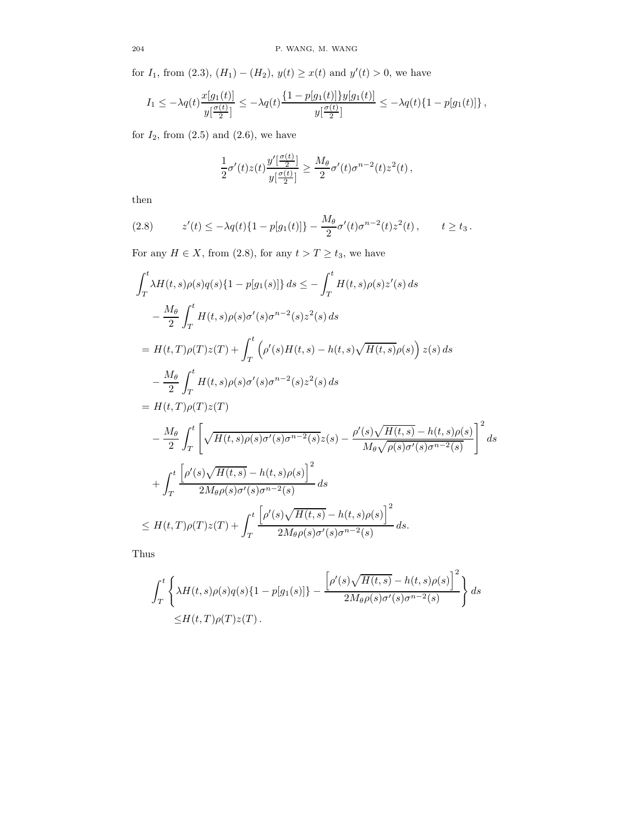for  $I_1$ , from  $(2.3)$ ,  $(H_1) - (H_2)$ ,  $y(t) \ge x(t)$  and  $y'(t) > 0$ , we have

$$
I_1 \leq -\lambda q(t) \frac{x[g_1(t)]}{y[\frac{\sigma(t)}{2}]} \leq -\lambda q(t) \frac{\{1 - p[g_1(t)]\}y[g_1(t)]}{y[\frac{\sigma(t)}{2}]} \leq -\lambda q(t) \{1 - p[g_1(t)]\},
$$

for  $I_2$ , from  $(2.5)$  and  $(2.6)$ , we have

$$
\frac{1}{2}\sigma'(t)z(t)\frac{y'\left[\frac{\sigma(t)}{2}\right]}{y\left[\frac{\sigma(t)}{2}\right]}\geq \frac{M_{\theta}}{2}\sigma'(t)\sigma^{n-2}(t)z^2(t),
$$

then

(2.8) 
$$
z'(t) \leq -\lambda q(t) \{1 - p[g_1(t)]\} - \frac{M_\theta}{2} \sigma'(t) \sigma^{n-2}(t) z^2(t), \qquad t \geq t_3.
$$

For any  $H \in X$ , from  $(2.8)$ , for any  $t > T \ge t_3$ , we have

$$
\int_{T}^{t} \lambda H(t,s)\rho(s)q(s)\{1-p[g_{1}(s)]\} ds \leq -\int_{T}^{t} H(t,s)\rho(s)z'(s) ds \n- \frac{M_{\theta}}{2} \int_{T}^{t} H(t,s)\rho(s)\sigma'(s)\sigma^{n-2}(s)z^{2}(s) ds \n= H(t,T)\rho(T)z(T) + \int_{T}^{t} (\rho'(s)H(t,s) - h(t,s)\sqrt{H(t,s)}\rho(s)) z(s) ds \n- \frac{M_{\theta}}{2} \int_{T}^{t} H(t,s)\rho(s)\sigma'(s)\sigma^{n-2}(s)z^{2}(s) ds \n= H(t,T)\rho(T)z(T) \n- \frac{M_{\theta}}{2} \int_{T}^{t} \left[ \sqrt{H(t,s)\rho(s)\sigma'(s)\sigma^{n-2}(s)} z(s) - \frac{\rho'(s)\sqrt{H(t,s)} - h(t,s)\rho(s)}{M_{\theta}\sqrt{\rho(s)\sigma'(s)\sigma^{n-2}(s)}} \right]^{2} ds \n+ \int_{T}^{t} \frac{\left[\rho'(s)\sqrt{H(t,s)} - h(t,s)\rho(s)\right]^{2}}{2M_{\theta}\rho(s)\sigma'(s)\sigma^{n-2}(s)} ds \n\leq H(t,T)\rho(T)z(T) + \int_{T}^{t} \frac{\left[\rho'(s)\sqrt{H(t,s)} - h(t,s)\rho(s)\right]^{2}}{2M_{\theta}\rho(s)\sigma'(s)\sigma^{n-2}(s)} ds.
$$

Thus

$$
\int_{T}^{t} \left\{ \lambda H(t,s)\rho(s)q(s)\{1-p[g_1(s)]\} - \frac{\left[\rho'(s)\sqrt{H(t,s)} - h(t,s)\rho(s)\right]^2}{2M_{\theta}\rho(s)\sigma'(s)\sigma^{n-2}(s)} \right\} ds
$$
  

$$
\leq H(t,T)\rho(T)z(T).
$$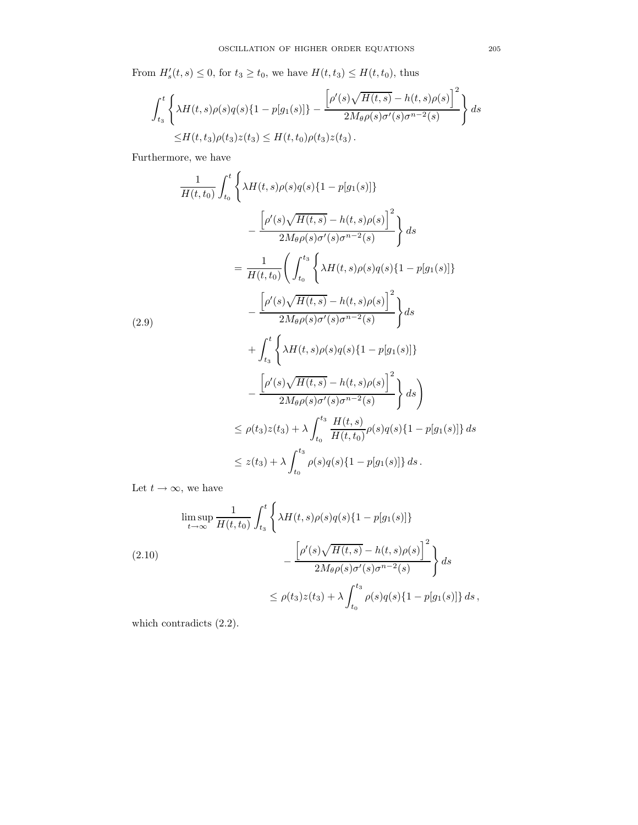From  $H'_{s}(t, s) \leq 0$ , for  $t_3 \geq t_0$ , we have  $H(t, t_3) \leq H(t, t_0)$ , thus

$$
\int_{t_3}^{t} \left\{ \lambda H(t,s)\rho(s)q(s)\{1 - p[g_1(s)]\} - \frac{\left[\rho'(s)\sqrt{H(t,s)} - h(t,s)\rho(s)\right]^2}{2M_{\theta}\rho(s)\sigma'(s)\sigma^{n-2}(s)} \right\} ds
$$
  
 
$$
\leq H(t,t_3)\rho(t_3)z(t_3) \leq H(t,t_0)\rho(t_3)z(t_3).
$$

Furthermore, we have

$$
\frac{1}{H(t,t_0)} \int_{t_0}^t \left\{ \lambda H(t,s)\rho(s)q(s)\{1-p[g_1(s)]\} - \frac{\left[\rho'(s)\sqrt{H(t,s)} - h(t,s)\rho(s)\right]^2}{2M_{\theta}\rho(s)\sigma'(s)\sigma^{n-2}(s)} \right\} ds
$$
\n
$$
= \frac{1}{H(t,t_0)} \left( \int_{t_0}^{t_3} \left\{ \lambda H(t,s)\rho(s)q(s)\{1-p[g_1(s)]\} - \frac{\left[\rho'(s)\sqrt{H(t,s)} - h(t,s)\rho(s)\right]^2}{2M_{\theta}\rho(s)\sigma'(s)\sigma^{n-2}(s)} \right\} ds
$$
\n
$$
+ \int_{t_3}^t \left\{ \lambda H(t,s)\rho(s)q(s)\{1-p[g_1(s)]\} - \frac{\left[\rho'(s)\sqrt{H(t,s)} - h(t,s)\rho(s)\right]^2}{2M_{\theta}\rho(s)\sigma'(s)\sigma^{n-2}(s)} \right\} ds
$$
\n
$$
\leq \rho(t_3)z(t_3) + \lambda \int_{t_0}^{t_3} \frac{H(t,s)}{H(t,t_0)} \rho(s)q(s)\{1-p[g_1(s)]\} ds
$$
\n
$$
\leq z(t_3) + \lambda \int_{t_0}^{t_3} \rho(s)q(s)\{1-p[g_1(s)]\} ds.
$$

Let  $t \to \infty$ , we have

$$
\limsup_{t \to \infty} \frac{1}{H(t, t_0)} \int_{t_3}^t \left\{ \lambda H(t, s) \rho(s) q(s) \{1 - p[g_1(s)]\} - \frac{\left[\rho'(s) \sqrt{H(t, s)} - h(t, s) \rho(s)\right]^2}{2M_\theta \rho(s) \sigma'(s) \sigma^{n-2}(s)} \right\} ds
$$
\n
$$
\leq \rho(t_3) z(t_3) + \lambda \int_{t_0}^{t_3} \rho(s) q(s) \{1 - p[g_1(s)]\} ds,
$$

which contradicts  $(2.2)$ .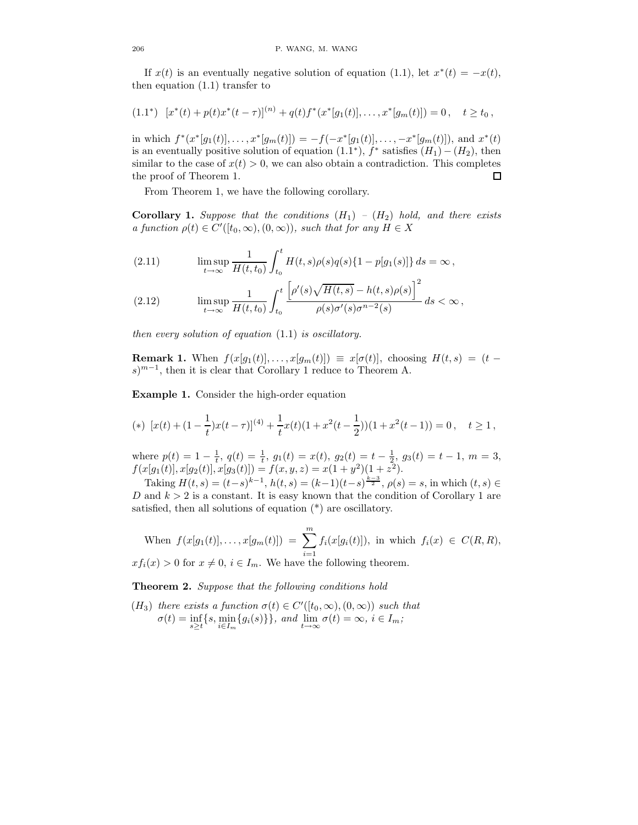If  $x(t)$  is an eventually negative solution of equation (1.1), let  $x^*(t) = -x(t)$ , then equation (1.1) transfer to

$$
(1.1^*) \ [x^*(t) + p(t)x^*(t-\tau)]^{(n)} + q(t)f^*(x^*[g_1(t)], \ldots, x^*[g_m(t)]) = 0 \,, \quad t \ge t_0 \,,
$$

in which  $f^*(x^*[g_1(t)], \ldots, x^*[g_m(t)]) = -f(-x^*[g_1(t)], \ldots, -x^*[g_m(t)])$ , and  $x^*(t)$ is an eventually positive solution of equation  $(1.1^*)$ ,  $f^*$  satisfies  $(H_1) - (H_2)$ , then similar to the case of  $x(t) > 0$ , we can also obtain a contradiction. This completes the proof of Theorem 1.  $\Box$ 

From Theorem 1, we have the following corollary.

**Corollary 1.** Suppose that the conditions  $(H_1) - (H_2)$  hold, and there exists a function  $\rho(t) \in C'([t_0, \infty), (0, \infty))$ , such that for any  $H \in X$ 

(2.11) 
$$
\limsup_{t \to \infty} \frac{1}{H(t, t_0)} \int_{t_0}^t H(t, s) \rho(s) q(s) \{1 - p[g_1(s)]\} ds = \infty,
$$

$$
(2.12) \qquad \limsup_{t \to \infty} \frac{1}{H(t, t_0)} \int_{t_0}^t \frac{\left[\rho'(s)\sqrt{H(t, s)} - h(t, s)\rho(s)\right]^2}{\rho(s)\sigma'(s)\sigma^{n-2}(s)} ds < \infty
$$

then every solution of equation (1.1) is oscillatory.

**Remark 1.** When  $f(x[g_1(t)], \ldots, x[g_m(t)]) \equiv x[\sigma(t)],$  choosing  $H(t, s) = (t$  $s)^{m-1}$ , then it is clear that Corollary 1 reduce to Theorem A.

Example 1. Consider the high-order equation

(\*) 
$$
[x(t) + (1 - \frac{1}{t})x(t-\tau)]^{(4)} + \frac{1}{t}x(t)(1+x^2(t-\frac{1}{2}))(1+x^2(t-1)) = 0, \quad t \ge 1,
$$

where  $p(t) = 1 - \frac{1}{t}$ ,  $q(t) = \frac{1}{t}$ ,  $g_1(t) = x(t)$ ,  $g_2(t) = t - \frac{1}{2}$ ,  $g_3(t) = t - 1$ ,  $m = 3$ ,  $f(x[g_1(t)], x[g_2(t)], x[g_3(t)]) = f(x, y, z) = x(1 + y^2)(1 + z^2).$ 

Taking  $H(t, s) = (t-s)^{k-1}$ ,  $h(t, s) = (k-1)(t-s)^{\frac{k-3}{2}}$ ,  $\rho(s) = s$ , in which  $(t, s) \in$ D and  $k > 2$  is a constant. It is easy known that the condition of Corollary 1 are satisfied, then all solutions of equation (\*) are oscillatory.

When 
$$
f(x[g_1(t)],...,x[g_m(t)]) = \sum_{i=1}^m f_i(x[g_i(t)])
$$
, in which  $f_i(x) \in C(R,R)$ ,

 $xf_i(x) > 0$  for  $x \neq 0, i \in I_m$ . We have the following theorem.

Theorem 2. Suppose that the following conditions hold

(H<sub>3</sub>) there exists a function  $\sigma(t) \in C'([t_0, \infty), (0, \infty))$  such that  $\sigma(t) = \inf_{s \ge t} \{s, \min_{i \in I_m} \{g_i(s)\}\}, \text{ and } \lim_{t \to \infty} \sigma(t) = \infty, \ i \in I_m;$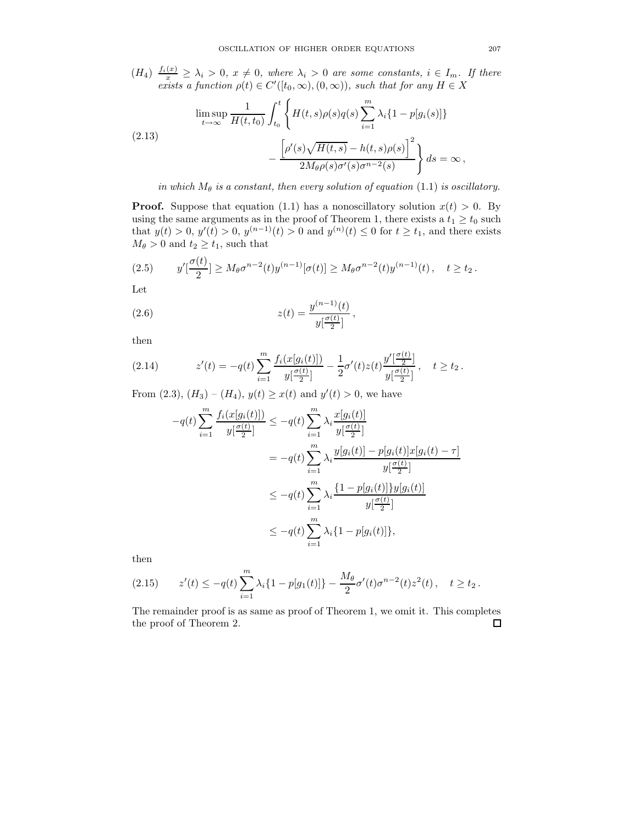$(H_4)$   $\frac{f_i(x)}{x} \geq \lambda_i > 0$ ,  $x \neq 0$ , where  $\lambda_i > 0$  are some constants,  $i \in I_m$ . If there exists a function  $\rho(t) \in C'([t_0, \infty), (0, \infty))$ , such that for any  $H \in X$ 

$$
\limsup_{t \to \infty} \frac{1}{H(t, t_0)} \int_{t_0}^t \left\{ H(t, s) \rho(s) q(s) \sum_{i=1}^m \lambda_i \{1 - p[g_i(s)]\} - \frac{\left[\rho'(s) \sqrt{H(t, s)} - h(t, s) \rho(s)\right]^2}{2M_\theta \rho(s) \sigma'(s) \sigma^{n-2}(s)} \right\} ds = \infty,
$$

in which  $M_{\theta}$  is a constant, then every solution of equation (1.1) is oscillatory.

**Proof.** Suppose that equation (1.1) has a nonoscillatory solution  $x(t) > 0$ . By using the same arguments as in the proof of Theorem 1, there exists a  $t_1 \ge t_0$  such that  $y(t) > 0$ ,  $y'(t) > 0$ ,  $y^{(n-1)}(t) > 0$  and  $y^{(n)}(t) \le 0$  for  $t \ge t_1$ , and there exists  $M_{\theta} > 0$  and  $t_2 \geq t_1$ , such that

$$
(2.5) \t y'[\frac{\sigma(t)}{2}] \ge M_{\theta} \sigma^{n-2}(t) y^{(n-1)}[\sigma(t)] \ge M_{\theta} \sigma^{n-2}(t) y^{(n-1)}(t), \quad t \ge t_2.
$$

Let

(2.6) 
$$
z(t) = \frac{y^{(n-1)}(t)}{y[\frac{\sigma(t)}{2}]},
$$

then

(2.14) 
$$
z'(t) = -q(t) \sum_{i=1}^{m} \frac{f_i(x[g_i(t)])}{y\left[\frac{\sigma(t)}{2}\right]} - \frac{1}{2}\sigma'(t)z(t)\frac{y'\left[\frac{\sigma(t)}{2}\right]}{y\left[\frac{\sigma(t)}{2}\right]}, \quad t \ge t_2.
$$

From  $(2.3)$ ,  $(H_3) - (H_4)$ ,  $y(t) \ge x(t)$  and  $y'(t) > 0$ , we have

$$
-q(t)\sum_{i=1}^{m} \frac{f_i(x[g_i(t)])}{y[\frac{\sigma(t)}{2}]} \leq -q(t)\sum_{i=1}^{m} \lambda_i \frac{x[g_i(t)]}{y[\frac{\sigma(t)}{2}]}
$$
  

$$
= -q(t)\sum_{i=1}^{m} \lambda_i \frac{y[g_i(t)] - p[g_i(t)]x[g_i(t) - \tau]}{y[\frac{\sigma(t)}{2}]}
$$
  

$$
\leq -q(t)\sum_{i=1}^{m} \lambda_i \frac{\{1 - p[g_i(t)]\}y[g_i(t)]}{y[\frac{\sigma(t)}{2}]}
$$
  

$$
\leq -q(t)\sum_{i=1}^{m} \lambda_i \{1 - p[g_i(t)]\},
$$

then

$$
(2.15) \t z'(t) \le -q(t) \sum_{i=1}^{m} \lambda_i \{1 - p[g_1(t)]\} - \frac{M_\theta}{2} \sigma'(t) \sigma^{n-2}(t) z^2(t), \quad t \ge t_2.
$$

The remainder proof is as same as proof of Theorem 1, we omit it. This completes the proof of Theorem 2. $\Box$